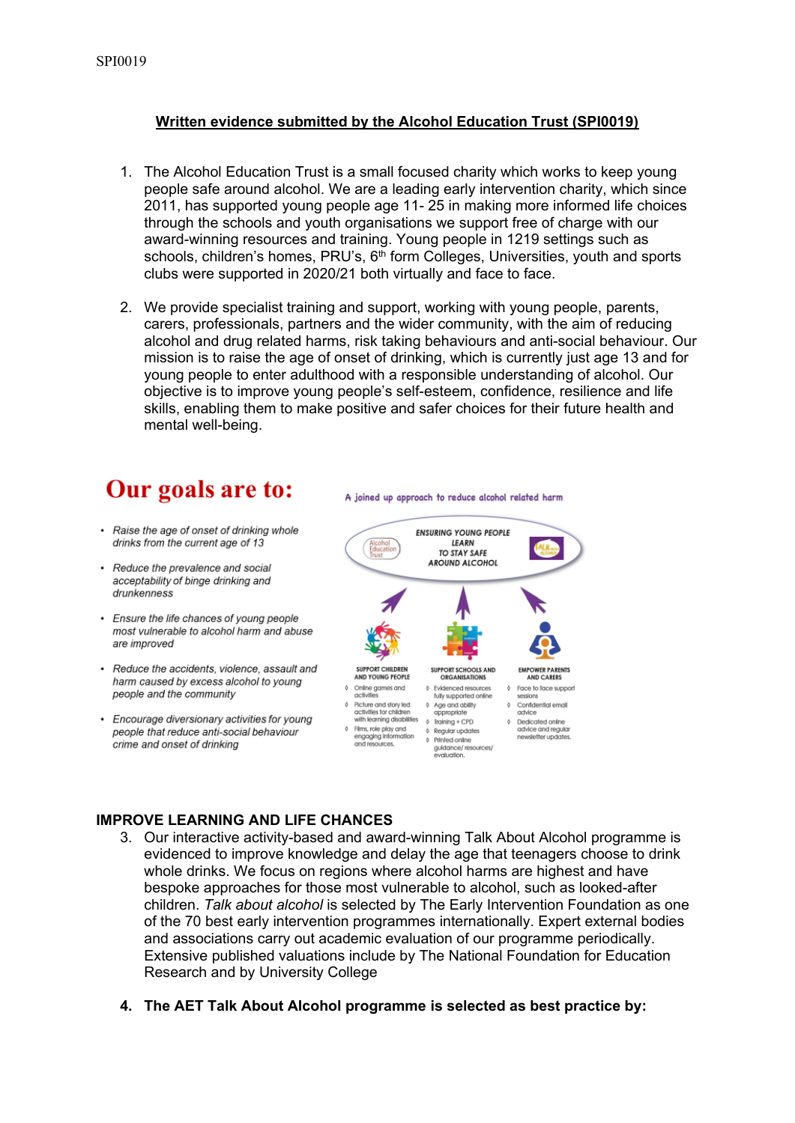## **Written evidence submitted by the Alcohol Education Trust (SPI0019)**

- 1. The Alcohol Education Trust is a small focused charity which works to keep young people safe around alcohol. We are a leading early intervention charity, which since 2011, has supported young people age 11- 25 in making more informed life choices through the schools and youth organisations we support free of charge with our award-winning resources and training. Young people in 1219 settings such as schools, children's homes, PRU's, 6<sup>th</sup> form Colleges, Universities, youth and sports clubs were supported in 2020/21 both virtually and face to face.
- 2. We provide specialist training and support, working with young people, parents, carers, professionals, partners and the wider community, with the aim of reducing alcohol and drug related harms, risk taking behaviours and anti-social behaviour. Our mission is to raise the age of onset of drinking, which is currently just age 13 and for young people to enter adulthood with a responsible understanding of alcohol. Our objective is to improve young people's self-esteem, confidence, resilience and life skills, enabling them to make positive and safer choices for their future health and mental well-being.

# Our goals are to:

- Raise the age of onset of drinking whole drinks from the current age of 13
- Reduce the prevalence and social acceptability of binge drinking and drunkenness
- Ensure the life chances of young people most vulnerable to alcohol harm and abuse are improved
- Reduce the accidents, violence, assault and harm caused by excess alcohol to young people and the community
- Encourage diversionary activities for young people that reduce anti-social behaviour crime and onset of drinking

#### A joined up approach to reduce alcohol related harm



#### **IMPROVE LEARNING AND LIFE CHANCES**

- 3. Our interactive activity-based and award-winning Talk About Alcohol programme is evidenced to improve knowledge and delay the age that teenagers choose to drink whole drinks. We focus on regions where alcohol harms are highest and have bespoke approaches for those most vulnerable to alcohol, such as looked-after children. *Talk about alcohol* is selected by The Early Intervention Foundation as one of the 70 best early intervention programmes internationally. Expert external bodies and associations carry out academic evaluation of our programme periodically. Extensive published valuations include by The National Foundation for Education Research and by University College
- **4. The AET Talk About Alcohol programme is selected as best practice by:**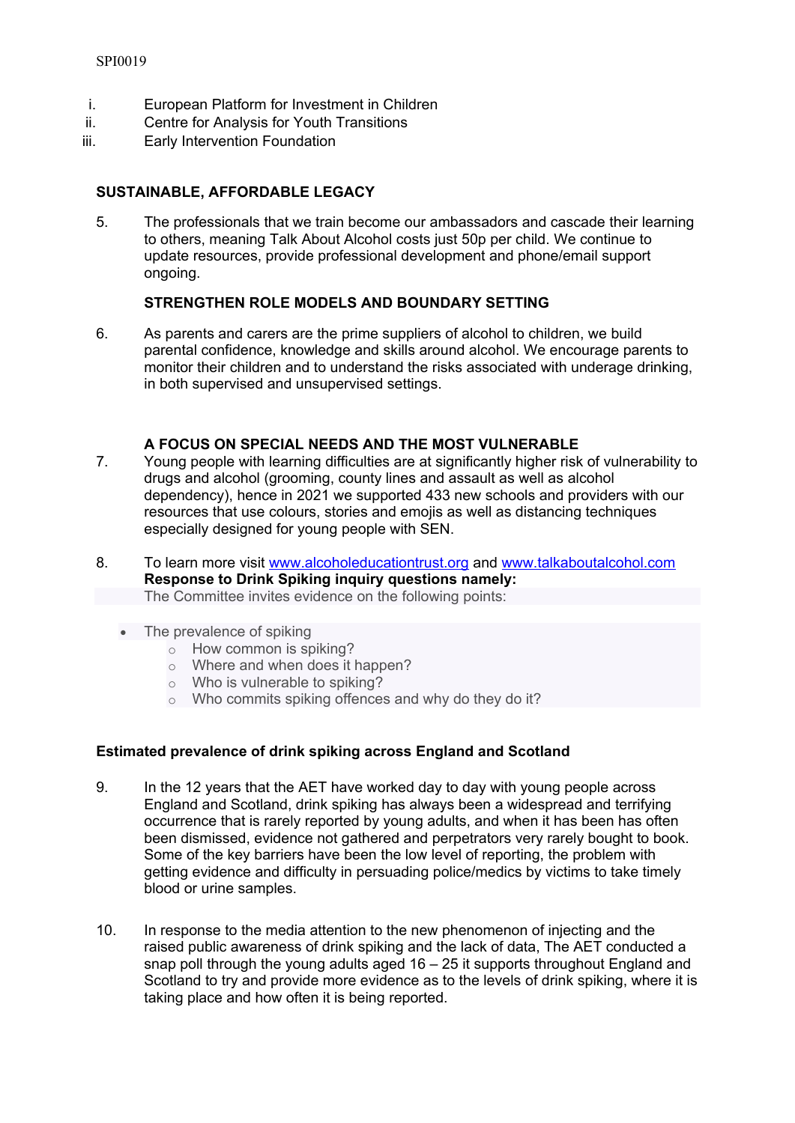- i. European Platform for Investment in Children
- ii. Centre for Analysis for Youth Transitions
- iii. Early Intervention Foundation

## **SUSTAINABLE, AFFORDABLE LEGACY**

5. The professionals that we train become our ambassadors and cascade their learning to others, meaning Talk About Alcohol costs just 50p per child. We continue to update resources, provide professional development and phone/email support ongoing.

## **STRENGTHEN ROLE MODELS AND BOUNDARY SETTING**

6. As parents and carers are the prime suppliers of alcohol to children, we build parental confidence, knowledge and skills around alcohol. We encourage parents to monitor their children and to understand the risks associated with underage drinking, in both supervised and unsupervised settings.

### **A FOCUS ON SPECIAL NEEDS AND THE MOST VULNERABLE**

- 7. Young people with learning difficulties are at significantly higher risk of vulnerability to drugs and alcohol (grooming, county lines and assault as well as alcohol dependency), hence in 2021 we supported 433 new schools and providers with our resources that use colours, stories and emojis as well as distancing techniques especially designed for young people with SEN.
- 8. To learn more visit [www.alcoholeducationtrust.org](http://www.alcoholeducationtrust.org/) and [www.talkaboutalcohol.com](http://www.talkaboutalcohol.com/) **Response to Drink Spiking inquiry questions namely:** The Committee invites evidence on the following points:
	- The prevalence of spiking
		- o How common is spiking?
		- o Where and when does it happen?
		- o Who is vulnerable to spiking?
		- $\circ$  Who commits spiking offences and why do they do it?

## **Estimated prevalence of drink spiking across England and Scotland**

- 9. In the 12 years that the AET have worked day to day with young people across England and Scotland, drink spiking has always been a widespread and terrifying occurrence that is rarely reported by young adults, and when it has been has often been dismissed, evidence not gathered and perpetrators very rarely bought to book. Some of the key barriers have been the low level of reporting, the problem with getting evidence and difficulty in persuading police/medics by victims to take timely blood or urine samples.
- 10. In response to the media attention to the new phenomenon of injecting and the raised public awareness of drink spiking and the lack of data, The AET conducted a snap poll through the young adults aged 16 – 25 it supports throughout England and Scotland to try and provide more evidence as to the levels of drink spiking, where it is taking place and how often it is being reported.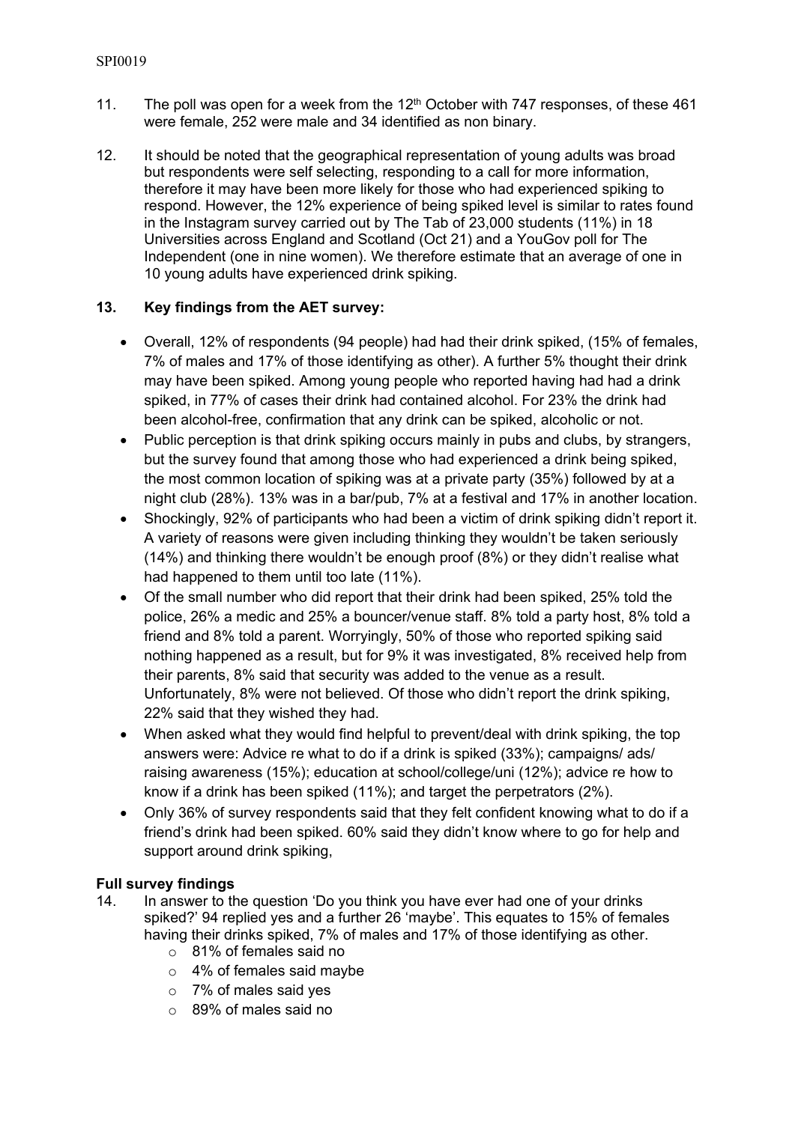- 11. The poll was open for a week from the  $12<sup>th</sup>$  October with 747 responses, of these 461 were female, 252 were male and 34 identified as non binary.
- 12. It should be noted that the geographical representation of young adults was broad but respondents were self selecting, responding to a call for more information, therefore it may have been more likely for those who had experienced spiking to respond. However, the 12% experience of being spiked level is similar to rates found in the Instagram survey carried out by The Tab of 23,000 students (11%) in 18 Universities across England and Scotland (Oct 21) and a YouGov poll for The Independent (one in nine women). We therefore estimate that an average of one in 10 young adults have experienced drink spiking.

## **13. Key findings from the AET survey:**

- Overall, 12% of respondents (94 people) had had their drink spiked, (15% of females, 7% of males and 17% of those identifying as other). A further 5% thought their drink may have been spiked. Among young people who reported having had had a drink spiked, in 77% of cases their drink had contained alcohol. For 23% the drink had been alcohol-free, confirmation that any drink can be spiked, alcoholic or not.
- Public perception is that drink spiking occurs mainly in pubs and clubs, by strangers, but the survey found that among those who had experienced a drink being spiked, the most common location of spiking was at a private party (35%) followed by at a night club (28%). 13% was in a bar/pub, 7% at a festival and 17% in another location.
- Shockingly, 92% of participants who had been a victim of drink spiking didn't report it. A variety of reasons were given including thinking they wouldn't be taken seriously (14%) and thinking there wouldn't be enough proof (8%) or they didn't realise what had happened to them until too late (11%).
- Of the small number who did report that their drink had been spiked, 25% told the police, 26% a medic and 25% a bouncer/venue staff. 8% told a party host, 8% told a friend and 8% told a parent. Worryingly, 50% of those who reported spiking said nothing happened as a result, but for 9% it was investigated, 8% received help from their parents, 8% said that security was added to the venue as a result. Unfortunately, 8% were not believed. Of those who didn't report the drink spiking, 22% said that they wished they had.
- When asked what they would find helpful to prevent/deal with drink spiking, the top answers were: Advice re what to do if a drink is spiked (33%); campaigns/ ads/ raising awareness (15%); education at school/college/uni (12%); advice re how to know if a drink has been spiked (11%); and target the perpetrators (2%).
- Only 36% of survey respondents said that they felt confident knowing what to do if a friend's drink had been spiked. 60% said they didn't know where to go for help and support around drink spiking,

## **Full survey findings**

- 14. In answer to the question 'Do you think you have ever had one of your drinks spiked?' 94 replied yes and a further 26 'maybe'. This equates to 15% of females having their drinks spiked, 7% of males and 17% of those identifying as other.
	- o 81% of females said no
	- o 4% of females said maybe
	- o 7% of males said yes
	- o 89% of males said no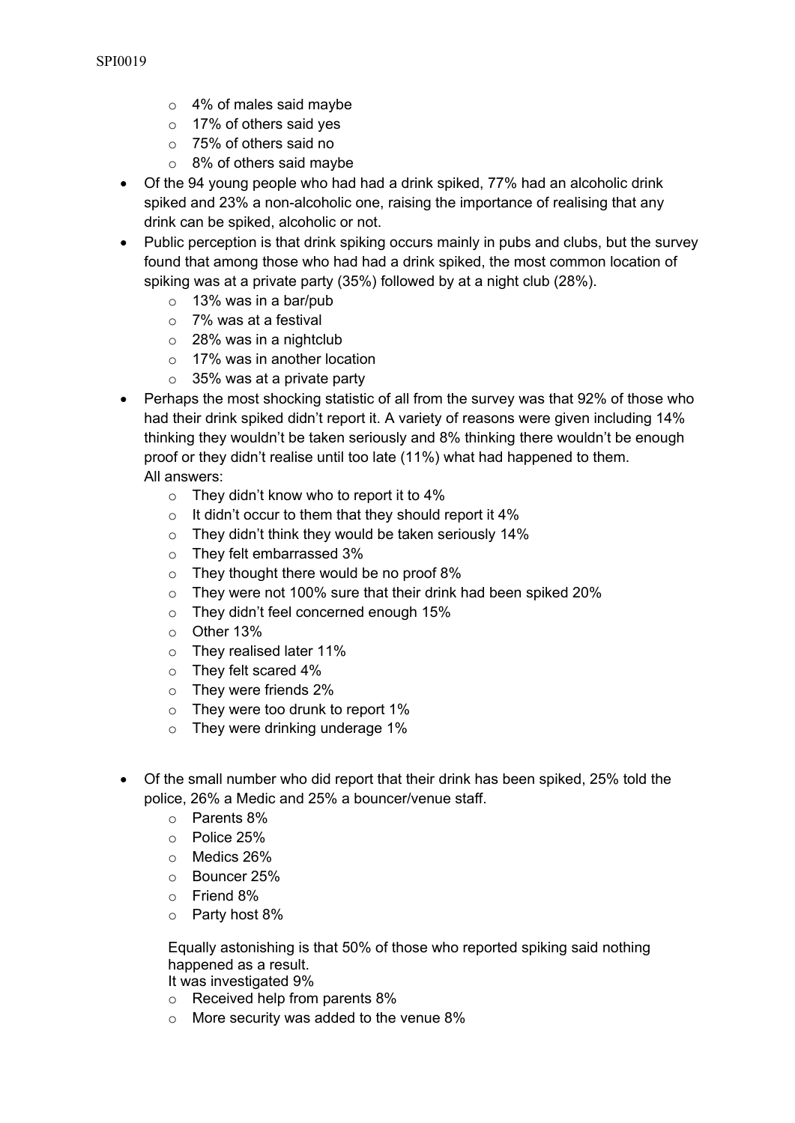- o 4% of males said maybe
- o 17% of others said yes
- o 75% of others said no
- $\circ$  8% of others said maybe
- Of the 94 young people who had had a drink spiked, 77% had an alcoholic drink spiked and 23% a non-alcoholic one, raising the importance of realising that any drink can be spiked, alcoholic or not.
- Public perception is that drink spiking occurs mainly in pubs and clubs, but the survey found that among those who had had a drink spiked, the most common location of spiking was at a private party (35%) followed by at a night club (28%).
	- $\circ$  13% was in a bar/pub
	- o 7% was at a festival
	- $\circ$  28% was in a nightclub
	- o 17% was in another location
	- $\circ$  35% was at a private party
- Perhaps the most shocking statistic of all from the survey was that 92% of those who had their drink spiked didn't report it. A variety of reasons were given including 14% thinking they wouldn't be taken seriously and 8% thinking there wouldn't be enough proof or they didn't realise until too late (11%) what had happened to them. All answers:
	- $\circ$  They didn't know who to report it to 4%
	- $\circ$  It didn't occur to them that they should report it 4%
	- o They didn't think they would be taken seriously 14%
	- o They felt embarrassed 3%
	- o They thought there would be no proof 8%
	- o They were not 100% sure that their drink had been spiked 20%
	- o They didn't feel concerned enough 15%
	- o Other 13%
	- o They realised later 11%
	- o They felt scared 4%
	- o They were friends 2%
	- o They were too drunk to report 1%
	- $\circ$  They were drinking underage 1%
- Of the small number who did report that their drink has been spiked, 25% told the police, 26% a Medic and 25% a bouncer/venue staff.
	- o Parents 8%
	- o Police 25%
	- o Medics 26%
	- o Bouncer 25%
	- o Friend 8%
	- o Party host 8%

Equally astonishing is that 50% of those who reported spiking said nothing happened as a result.

It was investigated 9%

- o Received help from parents 8%
- o More security was added to the venue 8%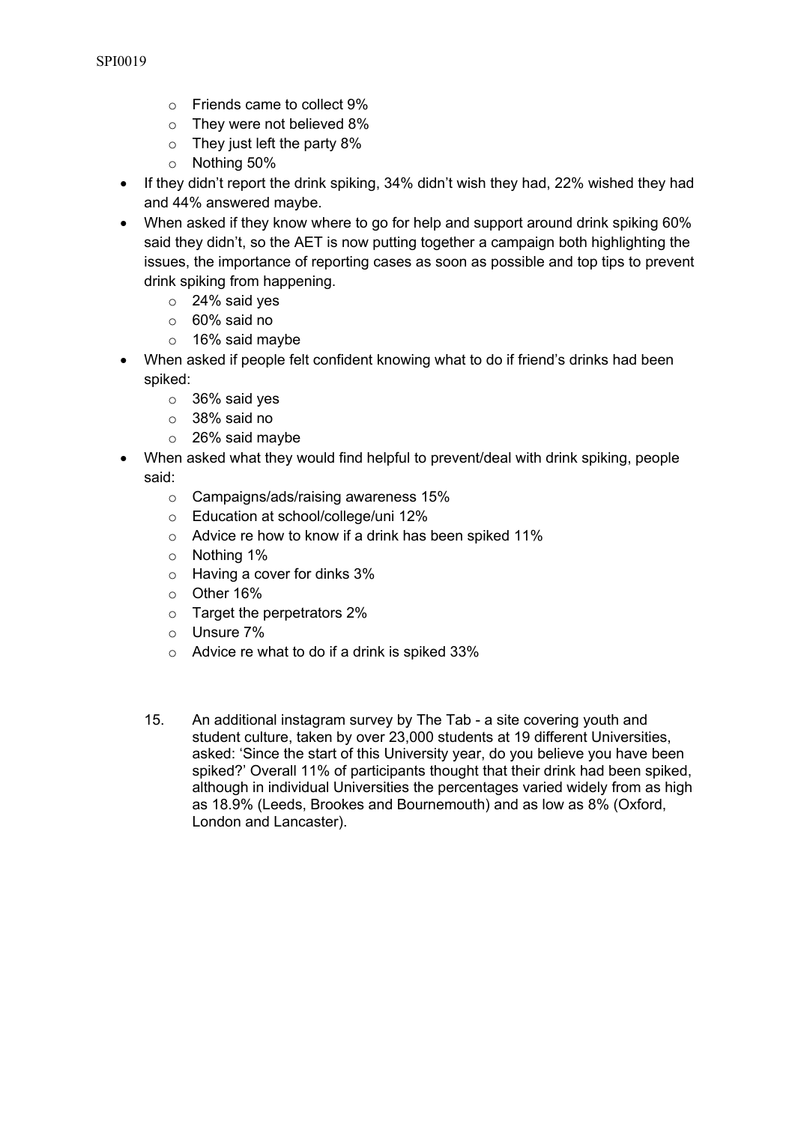- o Friends came to collect 9%
- o They were not believed 8%
- $\circ$  They just left the party 8%
- o Nothing 50%
- If they didn't report the drink spiking, 34% didn't wish they had, 22% wished they had and 44% answered maybe.
- When asked if they know where to go for help and support around drink spiking 60% said they didn't, so the AET is now putting together a campaign both highlighting the issues, the importance of reporting cases as soon as possible and top tips to prevent drink spiking from happening.
	- o 24% said yes
	- o 60% said no
	- o 16% said maybe
- When asked if people felt confident knowing what to do if friend's drinks had been spiked:
	- o 36% said yes
	- o 38% said no
	- o 26% said maybe
- When asked what they would find helpful to prevent/deal with drink spiking, people said:
	- o Campaigns/ads/raising awareness 15%
	- o Education at school/college/uni 12%
	- o Advice re how to know if a drink has been spiked 11%
	- o Nothing 1%
	- o Having a cover for dinks 3%
	- o Other 16%
	- o Target the perpetrators 2%
	- o Unsure 7%
	- $\circ$  Advice re what to do if a drink is spiked 33%
	- 15. An additional instagram survey by The Tab a site covering youth and student culture, taken by over 23,000 students at 19 different Universities, asked: 'Since the start of this University year, do you believe you have been spiked?' Overall 11% of participants thought that their drink had been spiked, although in individual Universities the percentages varied widely from as high as 18.9% (Leeds, Brookes and Bournemouth) and as low as 8% (Oxford, London and Lancaster).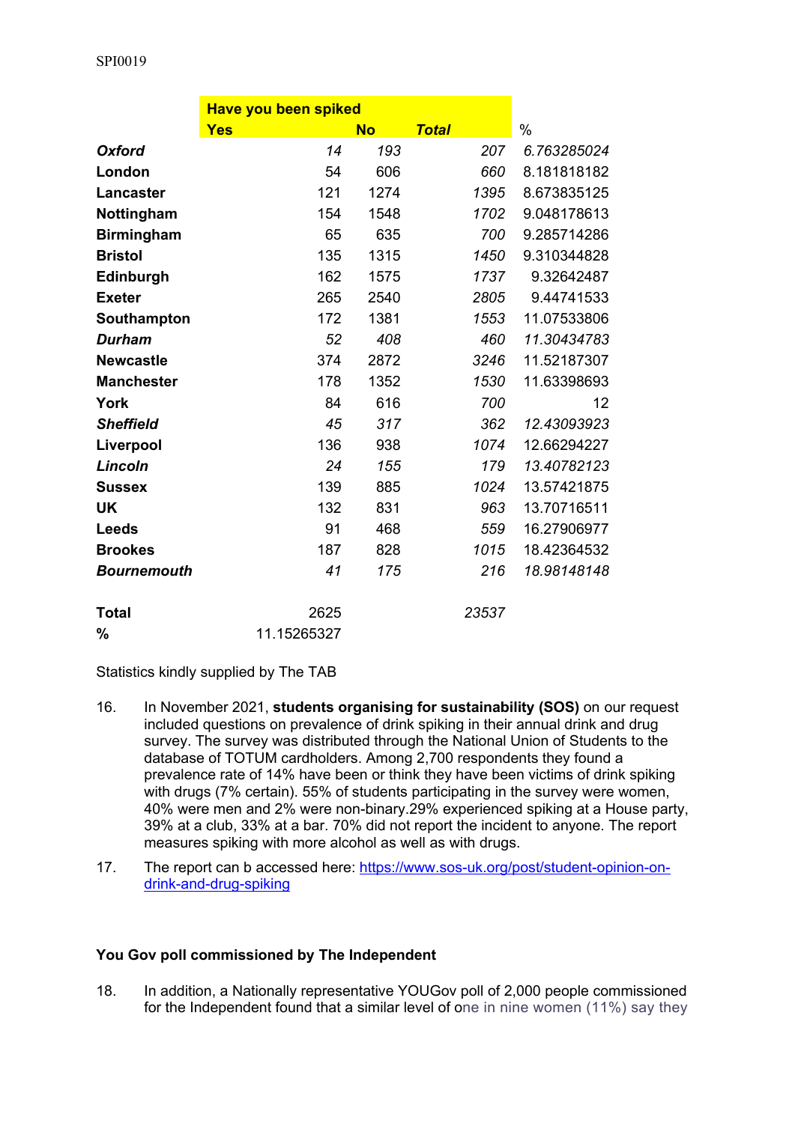#### SPI0019

|                    | <b>Have you been spiked</b> |           |              |             |
|--------------------|-----------------------------|-----------|--------------|-------------|
|                    | <b>Yes</b>                  | <b>No</b> | <b>Total</b> | $\%$        |
| <b>Oxford</b>      | 14                          | 193       | 207          | 6.763285024 |
| London             | 54                          | 606       | 660          | 8.181818182 |
| Lancaster          | 121                         | 1274      | 1395         | 8.673835125 |
| Nottingham         | 154                         | 1548      | 1702         | 9.048178613 |
| <b>Birmingham</b>  | 65                          | 635       | 700          | 9.285714286 |
| <b>Bristol</b>     | 135                         | 1315      | 1450         | 9.310344828 |
| Edinburgh          | 162                         | 1575      | 1737         | 9.32642487  |
| <b>Exeter</b>      | 265                         | 2540      | 2805         | 9.44741533  |
| Southampton        | 172                         | 1381      | 1553         | 11.07533806 |
| <b>Durham</b>      | 52                          | 408       | 460          | 11.30434783 |
| <b>Newcastle</b>   | 374                         | 2872      | 3246         | 11.52187307 |
| <b>Manchester</b>  | 178                         | 1352      | 1530         | 11.63398693 |
| <b>York</b>        | 84                          | 616       | 700          | 12          |
| <b>Sheffield</b>   | 45                          | 317       | 362          | 12.43093923 |
| Liverpool          | 136                         | 938       | 1074         | 12.66294227 |
| Lincoln            | 24                          | 155       | 179          | 13.40782123 |
| <b>Sussex</b>      | 139                         | 885       | 1024         | 13.57421875 |
| <b>UK</b>          | 132                         | 831       | 963          | 13.70716511 |
| <b>Leeds</b>       | 91                          | 468       | 559          | 16.27906977 |
| <b>Brookes</b>     | 187                         | 828       | 1015         | 18.42364532 |
| <b>Bournemouth</b> | 41                          | 175       | 216          | 18.98148148 |
| <b>Total</b>       | 2625                        |           | 23537        |             |
| %                  | 11.15265327                 |           |              |             |

Statistics kindly supplied by The TAB

- 16. In November 2021, **students organising for sustainability (SOS)** on our request included questions on prevalence of drink spiking in their annual drink and drug survey. The survey was distributed through the National Union of Students to the database of TOTUM cardholders. Among 2,700 respondents they found a prevalence rate of 14% have been or think they have been victims of drink spiking with drugs (7% certain). 55% of students participating in the survey were women, 40% were men and 2% were non-binary.29% experienced spiking at a House party, 39% at a club, 33% at a bar. 70% did not report the incident to anyone. The report measures spiking with more alcohol as well as with drugs.
- 17. The report can b accessed here: [https://www.sos-uk.org/post/student-opinion-on](https://www.sos-uk.org/post/student-opinion-on-drink-and-drug-spiking)[drink-and-drug-spiking](https://www.sos-uk.org/post/student-opinion-on-drink-and-drug-spiking)

#### **You Gov poll commissioned by The Independent**

18. In addition, a Nationally representative YOUGov poll of 2,000 people commissioned for the Independent found that a similar level of one in nine women (11%) say they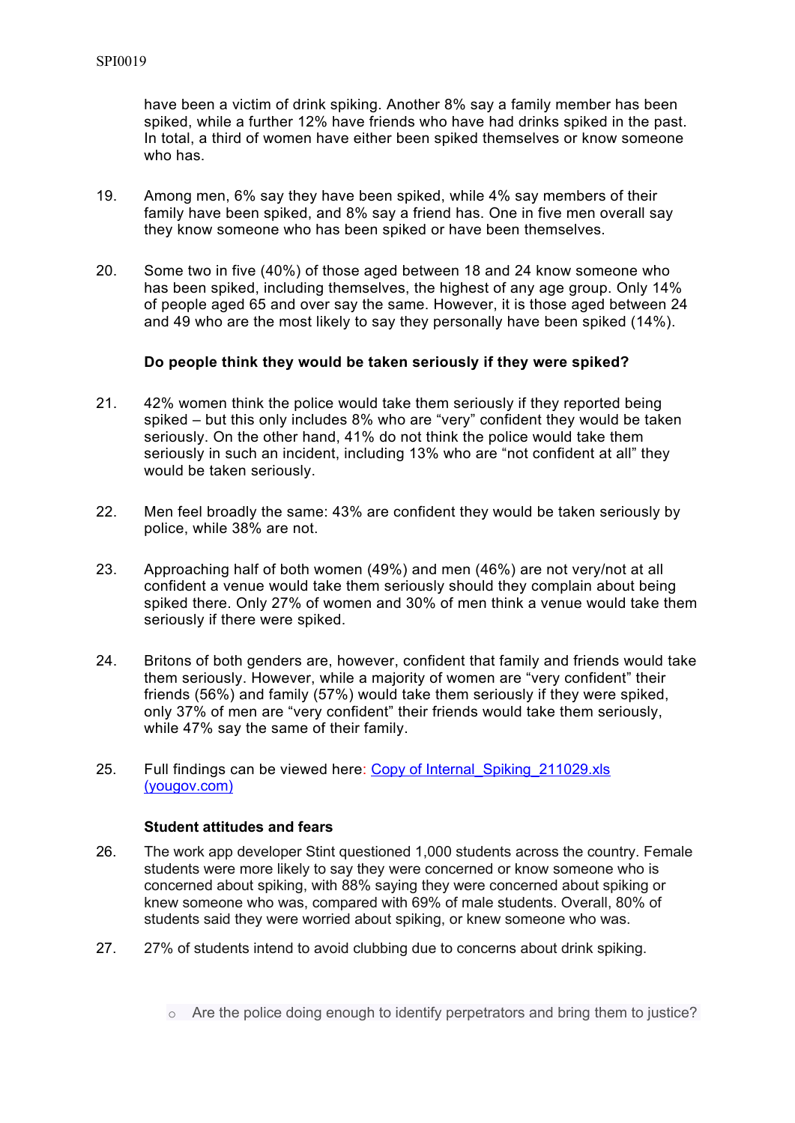have been a victim of drink spiking. Another 8% say a family member has been spiked, while a further 12% have friends who have had drinks spiked in the past. In total, a third of women have either been spiked themselves or know someone who has.

- 19. Among men, 6% say they have been spiked, while 4% say members of their family have been spiked, and 8% say a friend has. One in five men overall say they know someone who has been spiked or have been themselves.
- 20. Some two in five (40%) of those aged between 18 and 24 know someone who has been spiked, including themselves, the highest of any age group. Only 14% of people aged 65 and over say the same. However, it is those aged between 24 and 49 who are the most likely to say they personally have been spiked (14%).

### **Do people think they would be taken seriously if they were spiked?**

- 21. 42% women think the police would take them seriously if they reported being spiked – but this only includes 8% who are "very" confident they would be taken seriously. On the other hand, 41% do not think the police would take them seriously in such an incident, including 13% who are "not confident at all" they would be taken seriously.
- 22. Men feel broadly the same: 43% are confident they would be taken seriously by police, while 38% are not.
- 23. Approaching half of both women (49%) and men (46%) are not very/not at all confident a venue would take them seriously should they complain about being spiked there. Only 27% of women and 30% of men think a venue would take them seriously if there were spiked.
- 24. Britons of both genders are, however, confident that family and friends would take them seriously. However, while a majority of women are "very confident" their friends (56%) and family (57%) would take them seriously if they were spiked, only 37% of men are "very confident" their friends would take them seriously, while 47% say the same of their family.
- 25. Full findings can be viewed here: [Copy](https://docs.cdn.yougov.com/cjuftnxdw5/YouGov%20-%20Drink%20Spiking.pdf) [of](https://docs.cdn.yougov.com/cjuftnxdw5/YouGov%20-%20Drink%20Spiking.pdf) Internal Spiking 211029.xls [\(yougov.com\)](https://docs.cdn.yougov.com/cjuftnxdw5/YouGov%20-%20Drink%20Spiking.pdf)

#### **Student attitudes and fears**

- 26. The work app developer Stint questioned 1,000 students across the country. Female students were more likely to say they were concerned or know someone who is concerned about spiking, with 88% saying they were concerned about spiking or knew someone who was, compared with 69% of male students. Overall, 80% of students said they were worried about spiking, or knew someone who was.
- 27. 27% of students intend to avoid clubbing due to concerns about drink spiking.

o Are the police doing enough to identify perpetrators and bring them to justice?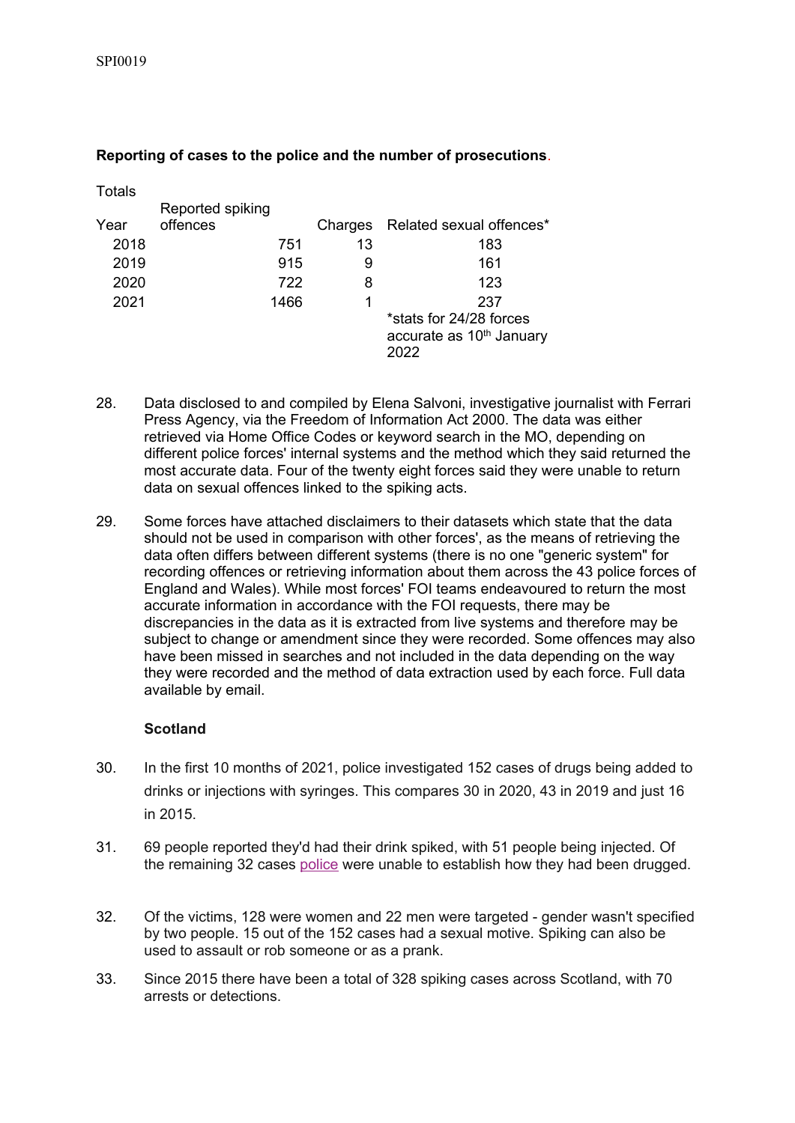Totals

| i vlais |                  |      |         |                                                                         |
|---------|------------------|------|---------|-------------------------------------------------------------------------|
|         | Reported spiking |      |         |                                                                         |
| Year    | offences         |      | Charges | Related sexual offences*                                                |
| 2018    |                  | 751  | 13      | 183                                                                     |
| 2019    |                  | 915  | 9       | 161                                                                     |
| 2020    |                  | 722  | 8       | 123                                                                     |
| 2021    |                  | 1466 | 1       | 237                                                                     |
|         |                  |      |         | *stats for 24/28 forces<br>accurate as 10 <sup>th</sup> January<br>2022 |
|         |                  |      |         |                                                                         |

## **Reporting of cases to the police and the number of prosecutions**.

- 28. Data disclosed to and compiled by Elena Salvoni, investigative journalist with Ferrari Press Agency, via the Freedom of Information Act 2000. The data was either retrieved via Home Office Codes or keyword search in the MO, depending on different police forces' internal systems and the method which they said returned the most accurate data. Four of the twenty eight forces said they were unable to return data on sexual offences linked to the spiking acts.
- 29. Some forces have attached disclaimers to their datasets which state that the data should not be used in comparison with other forces', as the means of retrieving the data often differs between different systems (there is no one "generic system" for recording offences or retrieving information about them across the 43 police forces of England and Wales). While most forces' FOI teams endeavoured to return the most accurate information in accordance with the FOI requests, there may be discrepancies in the data as it is extracted from live systems and therefore may be subject to change or amendment since they were recorded. Some offences may also have been missed in searches and not included in the data depending on the way they were recorded and the method of data extraction used by each force. Full data available by email.

## **Scotland**

- 30. In the first 10 months of 2021, police investigated 152 cases of drugs being added to drinks or injections with syringes. This compares 30 in 2020, 43 in 2019 and just 16 in 2015.
- 31. 69 people reported they'd had their drink spiked, with 51 people being injected. Of the remaining 32 cases [police](https://www.glasgowlive.co.uk/all-about/police-scotland) were unable to establish how they had been drugged.
- 32. Of the victims, 128 were women and 22 men were targeted gender wasn't specified by two people. 15 out of the 152 cases had a sexual motive. Spiking can also be used to assault or rob someone or as a prank.
- 33. Since 2015 there have been a total of 328 spiking cases across Scotland, with 70 arrests or detections.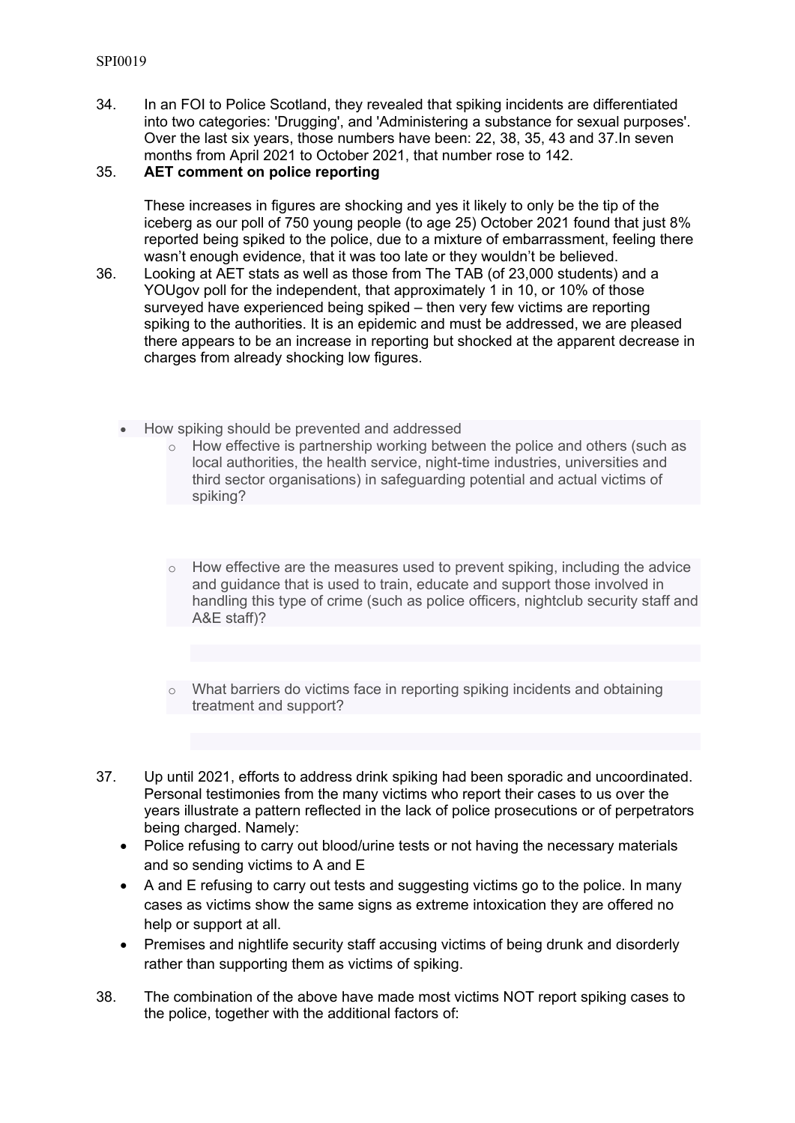34. In an FOI to Police Scotland, they revealed that spiking incidents are differentiated into two categories: 'Drugging', and 'Administering a substance for sexual purposes'. Over the last six years, those numbers have been: 22, 38, 35, 43 and 37.In seven months from April 2021 to October 2021, that number rose to 142.

## 35. **AET comment on police reporting**

These increases in figures are shocking and yes it likely to only be the tip of the iceberg as our poll of 750 young people (to age 25) October 2021 found that just 8% reported being spiked to the police, due to a mixture of embarrassment, feeling there wasn't enough evidence, that it was too late or they wouldn't be believed.

- 36. Looking at AET stats as well as those from The TAB (of 23,000 students) and a YOUgov poll for the independent, that approximately 1 in 10, or 10% of those surveyed have experienced being spiked – then very few victims are reporting spiking to the authorities. It is an epidemic and must be addressed, we are pleased there appears to be an increase in reporting but shocked at the apparent decrease in charges from already shocking low figures.
	- How spiking should be prevented and addressed
		- $\circ$  How effective is partnership working between the police and others (such as local authorities, the health service, night-time industries, universities and third sector organisations) in safeguarding potential and actual victims of spiking?
		- o How effective are the measures used to prevent spiking, including the advice and guidance that is used to train, educate and support those involved in handling this type of crime (such as police officers, nightclub security staff and A&E staff)?
		- o What barriers do victims face in reporting spiking incidents and obtaining treatment and support?
- 37. Up until 2021, efforts to address drink spiking had been sporadic and uncoordinated. Personal testimonies from the many victims who report their cases to us over the years illustrate a pattern reflected in the lack of police prosecutions or of perpetrators being charged. Namely:
	- Police refusing to carry out blood/urine tests or not having the necessary materials and so sending victims to A and E
	- A and E refusing to carry out tests and suggesting victims go to the police. In many cases as victims show the same signs as extreme intoxication they are offered no help or support at all.
	- Premises and nightlife security staff accusing victims of being drunk and disorderly rather than supporting them as victims of spiking.
- 38. The combination of the above have made most victims NOT report spiking cases to the police, together with the additional factors of: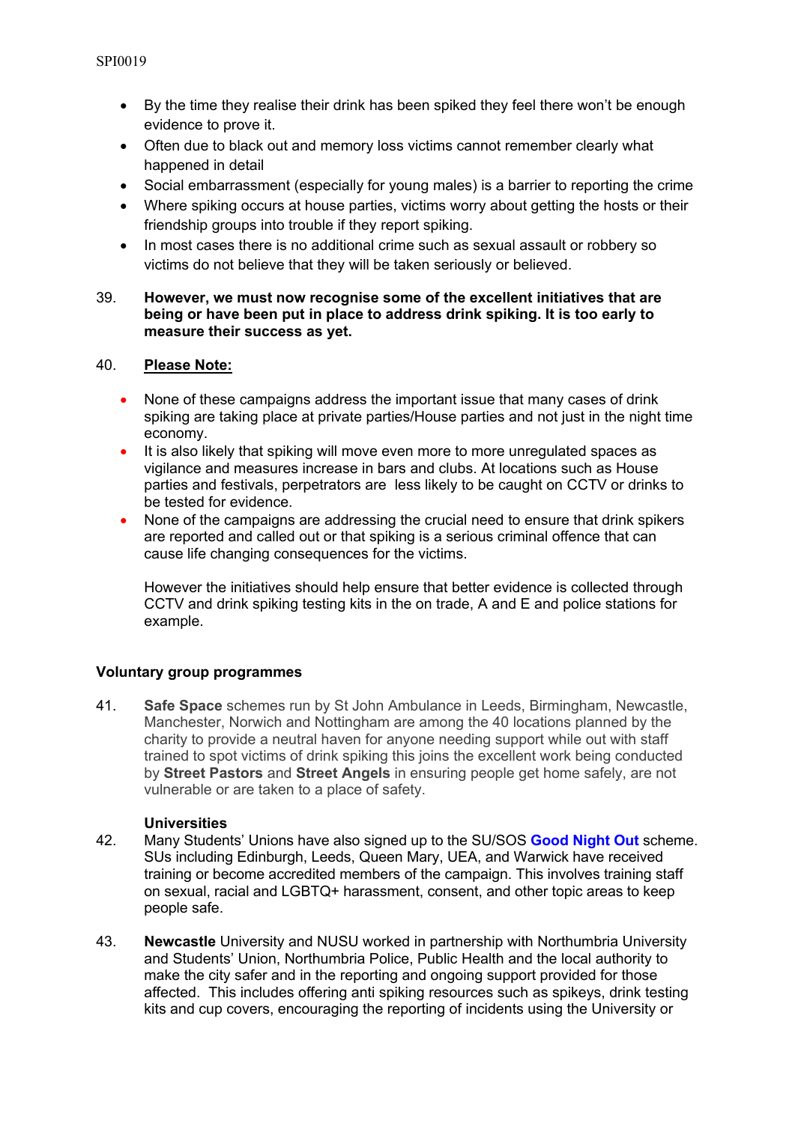- By the time they realise their drink has been spiked they feel there won't be enough evidence to prove it.
- Often due to black out and memory loss victims cannot remember clearly what happened in detail
- Social embarrassment (especially for young males) is a barrier to reporting the crime
- Where spiking occurs at house parties, victims worry about getting the hosts or their friendship groups into trouble if they report spiking.
- In most cases there is no additional crime such as sexual assault or robbery so victims do not believe that they will be taken seriously or believed.

### 39. **However, we must now recognise some of the excellent initiatives that are being or have been put in place to address drink spiking. It is too early to measure their success as yet.**

## 40. **Please Note:**

- None of these campaigns address the important issue that many cases of drink spiking are taking place at private parties/House parties and not just in the night time economy.
- It is also likely that spiking will move even more to more unregulated spaces as vigilance and measures increase in bars and clubs. At locations such as House parties and festivals, perpetrators are less likely to be caught on CCTV or drinks to be tested for evidence.
- None of the campaigns are addressing the crucial need to ensure that drink spikers are reported and called out or that spiking is a serious criminal offence that can cause life changing consequences for the victims.

However the initiatives should help ensure that better evidence is collected through CCTV and drink spiking testing kits in the on trade, A and E and police stations for example.

## **Voluntary group programmes**

41. **Safe Space** schemes run by St John Ambulance in Leeds, Birmingham, Newcastle, Manchester, Norwich and Nottingham are among the 40 locations planned by the charity to provide a neutral haven for anyone needing support while out with staff trained to spot victims of drink spiking this joins the excellent work being conducted by **Street Pastors** and **Street Angels** in ensuring people get home safely, are not vulnerable or are taken to a place of safety.

## **Universities**

- 42. Many Students' Unions have also signed up to the SU/SOS **Goo[d](http://www.goodnightoutcampaign.org/) Night [O](http://www.goodnightoutcampaign.org/)ut** scheme. SUs including Edinburgh, Leeds, Queen Mary, UEA, and Warwick have received training or become accredited members of the campaign. This involves training staff on sexual, racial and LGBTQ+ harassment, consent, and other topic areas to keep people safe.
- 43. **Newcastle** University and NUSU worked in partnership with Northumbria University and Students' Union, Northumbria Police, Public Health and the local authority to make the city safer and in the reporting and ongoing support provided for those affected. This includes offering anti spiking resources such as spikeys, drink testing kits and cup covers, encouraging the reporting of incidents using the University or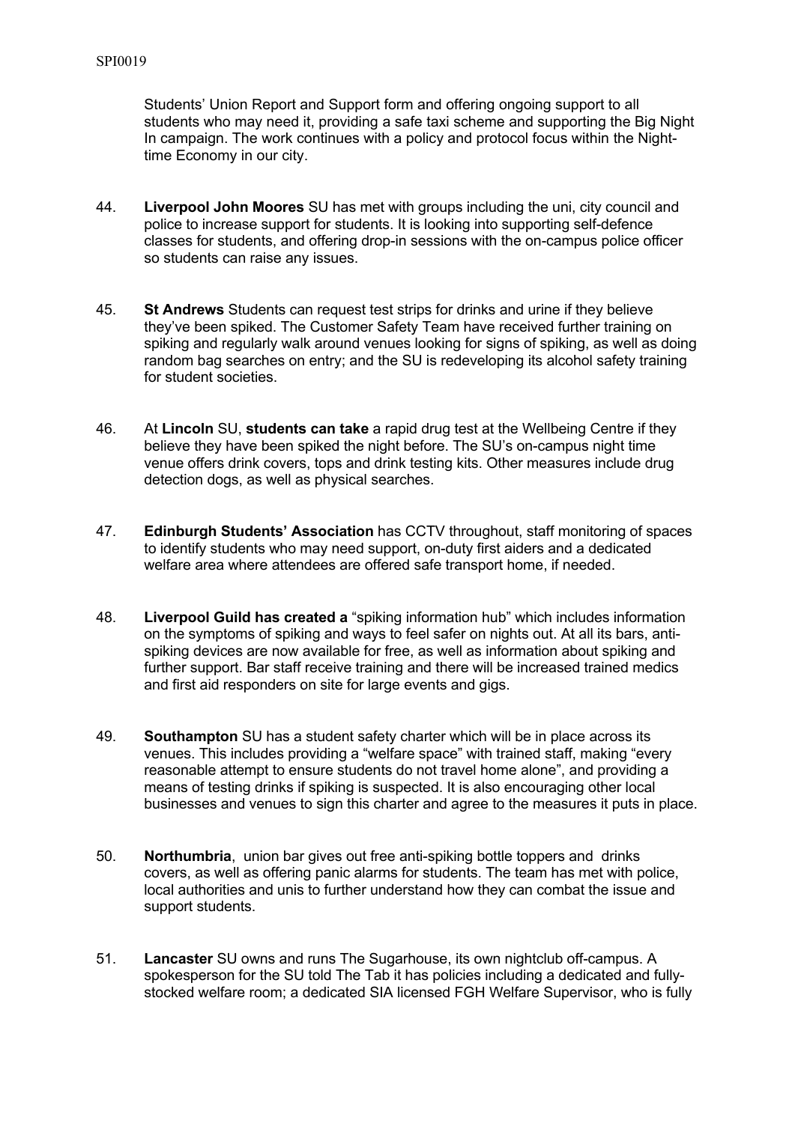Students' Union Report and Support form and offering ongoing support to all students who may need it, providing a safe taxi scheme and supporting the Big Night In campaign. The work continues with a policy and protocol focus within the Nighttime Economy in our city.

- 44. **Liverpool John Moores** SU has met with groups including the uni, city council and police to increase support for students. It is lookin[g](https://www.jmsu.co.uk/articles/officer-update-spiking-increase-and-student-safety) into supporting self-defence classes for students, and offering drop-in sessions with the on-campus police officer so students can raise any issues.
- 45. **St Andrews** Students can request test strips for drinks and urine if they believe they've been spiked. The Customer Safety Team have received further training on spiking and regularly walk around venues looking for signs of spiking, as well as doing random bag searches on entry; and the SU is redeveloping its alcohol safety training for student societies.
- 46. At **Lincoln** SU, **students [c](https://lincolnsu.com/news/article/testing)an [t](https://lincolnsu.com/news/article/testing)ake** a rapid drug test at the Wellbeing Centre if they believe they have been spiked the night before. The SU's on-campus night time venue offers drink covers, tops and drink testing kits. Other measures include drug detection dogs, as well as physical searches.
- 47. **Edinburgh Students' Association** has CCTV throughout, staff monitoring of spaces to identify students who may need support, on-duty first aiders and a dedicated welfare area where attendees are offered safe transport home, if needed.
- 48. **Liverpool Guild has [c](https://www.liverpoolguild.org/spiking)reated [a](https://www.liverpoolguild.org/spiking)** "spiking information hub" which includes information on the symptoms of spiking and ways to feel safer on nights out. At all its bars, antispiking devices are now available for free, as well as information about spiking and further support. Bar staff receive training and there will be increased trained medics and first aid responders on site for large events and gigs.
- 49. **Southampton** SU has a student safety charter which will be in place across its venues. This includes providing a "welfare space" with trained staff, making "every reasonable attempt to ensure students do not travel home alone", and providing a means of testing drinks if spiking is suspected. It is also encouraging other local businesses and venues to sign this charter and agree to the measures it puts in place.
- 50. **Northumbria**, union bar gives out free anti-spiking bottle toppers and drinks covers, as [w](https://www.mynsu.co.uk/news/article/gigs/Spiking-Advice-from-NSU/)el[l](https://www.mynsu.co.uk/news/article/gigs/Spiking-Advice-from-NSU/) as offering panic alarms for students. The team has met with police, local authorities and unis to further understand how they can combat the issue and support students.
- 51. **Lancaster** SU owns and runs The Sugarhouse, its own nightclub off-campus. A spokesperson for the SU told The Tab it has policies including a dedicated and fullystocked welfare room; a dedicated SIA licensed FGH Welfare Supervisor, who is fully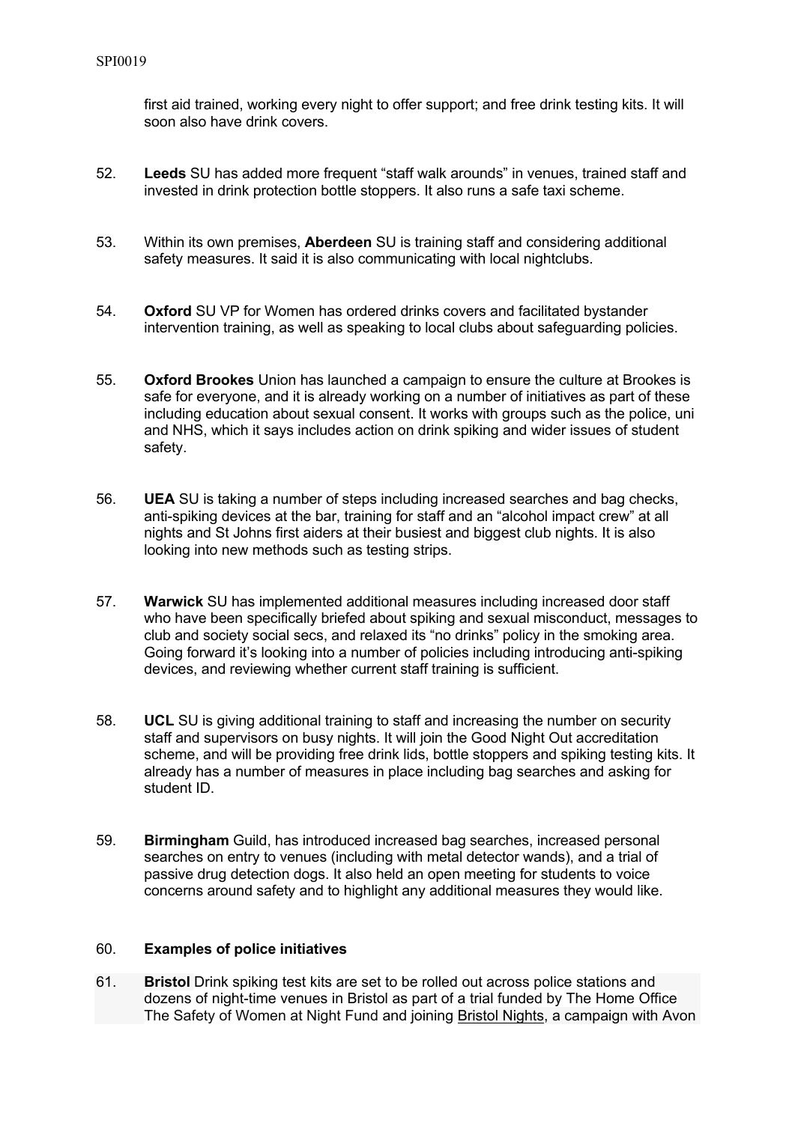first aid trained, working every night to offer support; and free drink testing kits. It will soon also have drink covers.

- 52. **Leeds** SU has added more frequent "staff walk arounds" in venues, trained staff and invested in drink protection bottle stoppers. It also runs a safe taxi scheme.
- 53. Within its own premises, **Aberdeen** SU is training staff and considering additional safety measures. It said it is also communicating with local nightclubs.
- 54. **Oxford** SU VP for Women has ordered drinks covers and facilitated bystander intervention training, as well as speaking to local clubs about safeguarding policies.
- 55. **Oxford Brookes** Union has launched [a](https://www.brookesunion.org.uk/brookestogether) [c](https://www.brookesunion.org.uk/brookestogether)ampaign to ensure the culture at Brookes is safe for everyone, and it is already working on a number of initiatives as part of these including education about sexual consent. It works with groups such as the police, uni and NHS, which it says includes action on drink spiking and wider issues of student safety.
- 56. **UEA** SU is taking a number of steps including increased searches and bag checks, anti-spiking devices at the bar, training for staff and an "alcohol impact crew" at all nights and St Johns first aiders at their busiest and biggest club nights. It is also looking into new methods such as testing strips.
- 57. **Warwick** SU has implemented additional measure[s](https://www.warwicksu.com/news/article/warwicksu/Drink-Spiking-Action-Plan/?fbclid=IwAR2mjhWKB9Y9o6t94-fr1YCHbiLHB0f2PMWbM_vzz1Mbr6dgaNC8FIDFO6Q) including increased door staff who have been specifically briefed about spiking and sexual misconduct, messages to club and society social secs, and relaxed its "no drinks" policy in the smoking area. Going forward it's looking into a number of policies including introducing anti-spiking devices, and reviewing whether current staff training is sufficient.
- 58. **UCL** SU is giving additional training to staff and increasing the number on security staff and supervisors on busy nights. It will join the Good Night Out accreditation scheme, and will be providing free drink lids, bottle stoppers and spiking testing kits. It already has a number of measures in place including bag searches and asking for student ID.
- 59. **Birmingham** Guild, has introduced increased bag searches, increased personal searches on entry to venues (including with metal detector wands), and a trial of passive drug detection dogs. It also held an open meeting for students to voice concerns around safety and to highlight any additional measures they would like.

#### 60. **Examples of police initiatives**

61. **Bristol** Drink spiking test kits are set to be rolled out across police stations and dozens of night-time venues in Bristol as part of a trial funded by The Home Office The Safety of Women at Night Fund and joining [Bristol](https://www.bristolnights.co.uk/) [Nights,](https://www.bristolnights.co.uk/) a campaign with Avon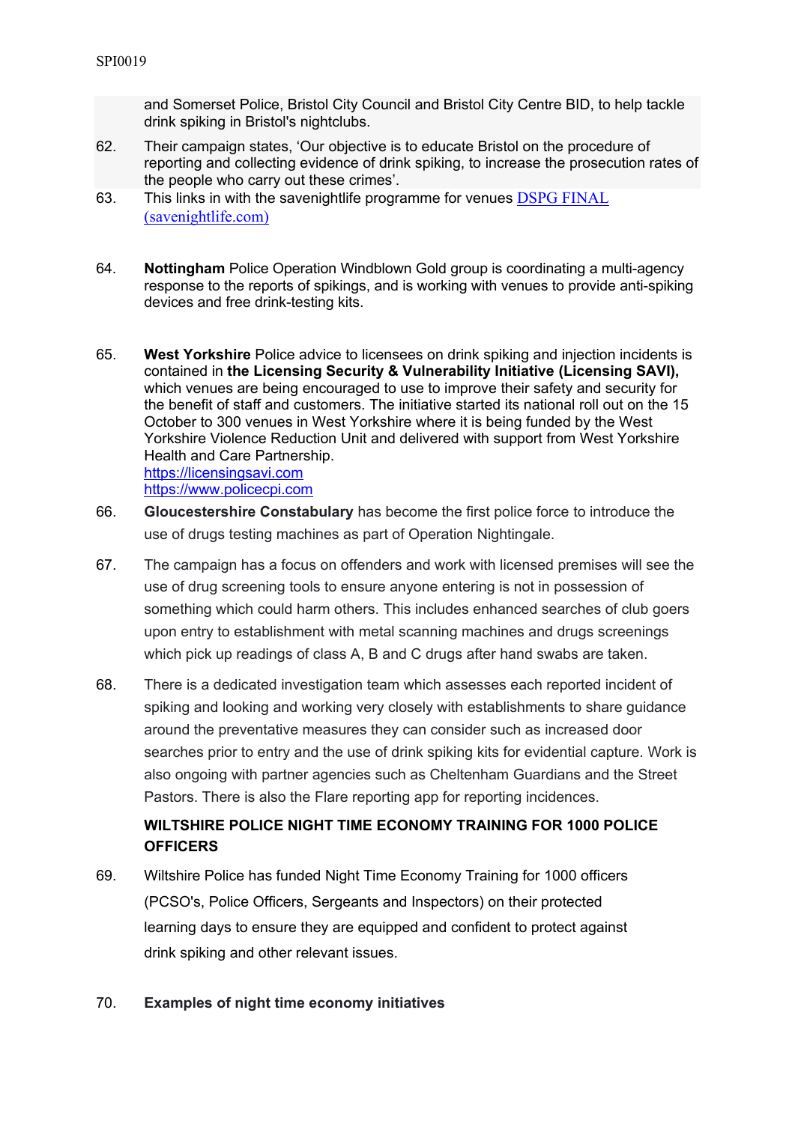and Somerset Police, Bristol City Council and Bristol City Centre BID, to help tackle drink spiking in Bristol's nightclubs.

- 62. Their campaign states, 'Our objective is to educate Bristol on the procedure of reporting and collecting evidence of drink spiking, to increase the prosecution rates of the people who carry out these crimes'.
- 63. This links in with the savenightlife programme for venues [DSPG](https://savenightlife.com/wp-content/uploads/2021/11/DSPG-FINAL.pdf) [FINAL](https://savenightlife.com/wp-content/uploads/2021/11/DSPG-FINAL.pdf) [\(savenightlife.com\)](https://savenightlife.com/wp-content/uploads/2021/11/DSPG-FINAL.pdf)
- 64. **Nottingham** Police Operation Windblown Gold group is coordinating a multi-agency response to the reports of spikings, and is working with venues to provide anti-spiking devices and free drink-testing kits.
- 65. **West Yorkshire** Police advice to licensees on drink spiking and injection incidents is contained in **the Licensing Security & Vulnerability Initiative (Licensing SAVI),** which venues are being encouraged to use to improve their safety and security for the benefit of staff and customers. The initiative started its national roll out on the 15 October to 300 venues in West Yorkshire where it is being funded by the West Yorkshire Violence Reduction Unit and delivered with support from West Yorkshire Health and Care Partnership. [https://licensingsavi.com](https://licensingsavi.com/) [https://www.policecpi.com](https://www.policecpi.com/)
- 66. **Gloucestershire Constabulary** has become the first police force to introduce the use of drugs testing machines as part of Operation Nightingale.
- 67. The campaign has a focus on offenders and work with licensed premises will see the use of drug screening tools to ensure anyone entering is not in possession of something which could harm others. This includes enhanced searches of club goers upon entry to establishment with metal scanning machines and drugs screenings which pick up readings of class A, B and C drugs after hand swabs are taken.
- 68. There is a dedicated investigation team which assesses each reported incident of spiking and looking and working very closely with establishments to share guidance around the preventative measures they can consider such as increased door searches prior to entry and the use of drink spiking kits for evidential capture. Work is also ongoing with partner agencies such as Cheltenham Guardians and the Street Pastors. There is also the Flare reporting app for reporting incidences.

## **WILTSHIRE POLICE NIGHT TIME ECONOMY TRAINING FOR 1000 POLICE OFFICERS**

- 69. Wiltshire Police has funded Night Time Economy Training for 1000 officers (PCSO's, Police Officers, Sergeants and Inspectors) on their protected learning days to ensure they are equipped and confident to protect against drink spiking and other relevant issues.
- 70. **Examples of night time economy initiatives**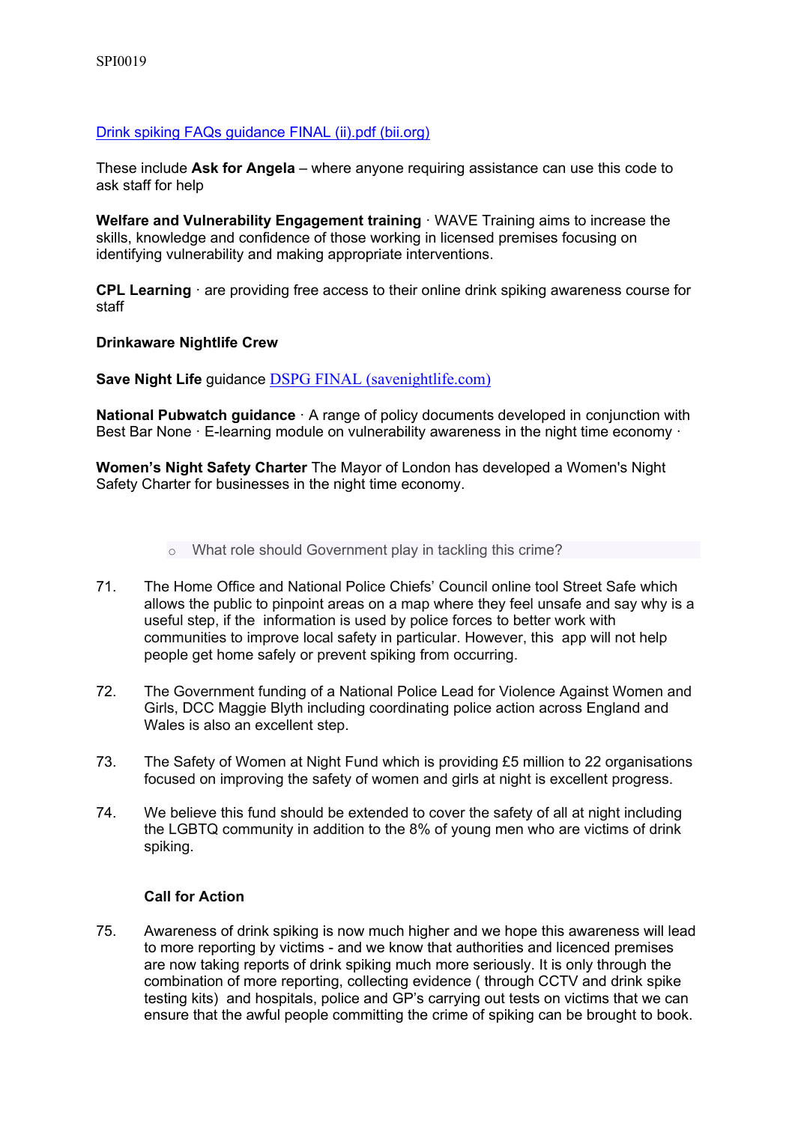## [Drink](https://www.bii.org/common/Uploaded%20files/FAQs/Drink%20spiking%20FAQs%20guidance%20FINAL%20(ii).pdf) [spiking](https://www.bii.org/common/Uploaded%20files/FAQs/Drink%20spiking%20FAQs%20guidance%20FINAL%20(ii).pdf) [FAQs](https://www.bii.org/common/Uploaded%20files/FAQs/Drink%20spiking%20FAQs%20guidance%20FINAL%20(ii).pdf) [guidance](https://www.bii.org/common/Uploaded%20files/FAQs/Drink%20spiking%20FAQs%20guidance%20FINAL%20(ii).pdf) [FINAL](https://www.bii.org/common/Uploaded%20files/FAQs/Drink%20spiking%20FAQs%20guidance%20FINAL%20(ii).pdf) [\(ii\).pdf](https://www.bii.org/common/Uploaded%20files/FAQs/Drink%20spiking%20FAQs%20guidance%20FINAL%20(ii).pdf) [\(bii.org\)](https://www.bii.org/common/Uploaded%20files/FAQs/Drink%20spiking%20FAQs%20guidance%20FINAL%20(ii).pdf)

These include **Ask for Angela** – where anyone requiring assistance can use this code to ask staff for help

**Welfare and Vulnerability Engagement training** · WAVE Training aims to increase the skills, knowledge and confidence of those working in licensed premises focusing on identifying vulnerability and making appropriate interventions.

**CPL Learning** · are providing free access to their online drink spiking awareness course for staff

**Drinkaware Nightlife Crew**

**Save Night Life** guidance [DSPG](https://savenightlife.com/wp-content/uploads/2021/11/DSPG-FINAL.pdf) [FINAL](https://savenightlife.com/wp-content/uploads/2021/11/DSPG-FINAL.pdf) [\(savenightlife.com\)](https://savenightlife.com/wp-content/uploads/2021/11/DSPG-FINAL.pdf)

**National Pubwatch guidance** · A range of policy documents developed in conjunction with Best Bar None · E-learning module on vulnerability awareness in the night time economy ·

**Women's Night Safety Charter** The Mayor of London has developed a Women's Night Safety Charter for businesses in the night time economy.

o What role should Government play in tackling this crime?

- 71. The Home Office and National Police Chiefs' Council online tool Street Safe which allows the public to pinpoint areas on a map where they feel unsafe and say why is a useful step, if the information is used by police forces to better work with communities to improve local safety in particular. However, this app will not help people get home safely or prevent spiking from occurring.
- 72. The Government funding of a National Police Lead for Violence Against Women and Girls, DCC Maggie Blyth including coordinating police action across England and Wales is also an excellent step.
- 73. The Safety of Women at Night Fund which is providing £5 million to 22 organisations focused on improving the safety of women and girls at night is excellent progress.
- 74. We believe this fund should be extended to cover the safety of all at night including the LGBTQ community in addition to the 8% of young men who are victims of drink spiking.

## **Call for Action**

75. Awareness of drink spiking is now much higher and we hope this awareness will lead to more reporting by victims - and we know that authorities and licenced premises are now taking reports of drink spiking much more seriously. It is only through the combination of more reporting, collecting evidence ( through CCTV and drink spike testing kits) and hospitals, police and GP's carrying out tests on victims that we can ensure that the awful people committing the crime of spiking can be brought to book.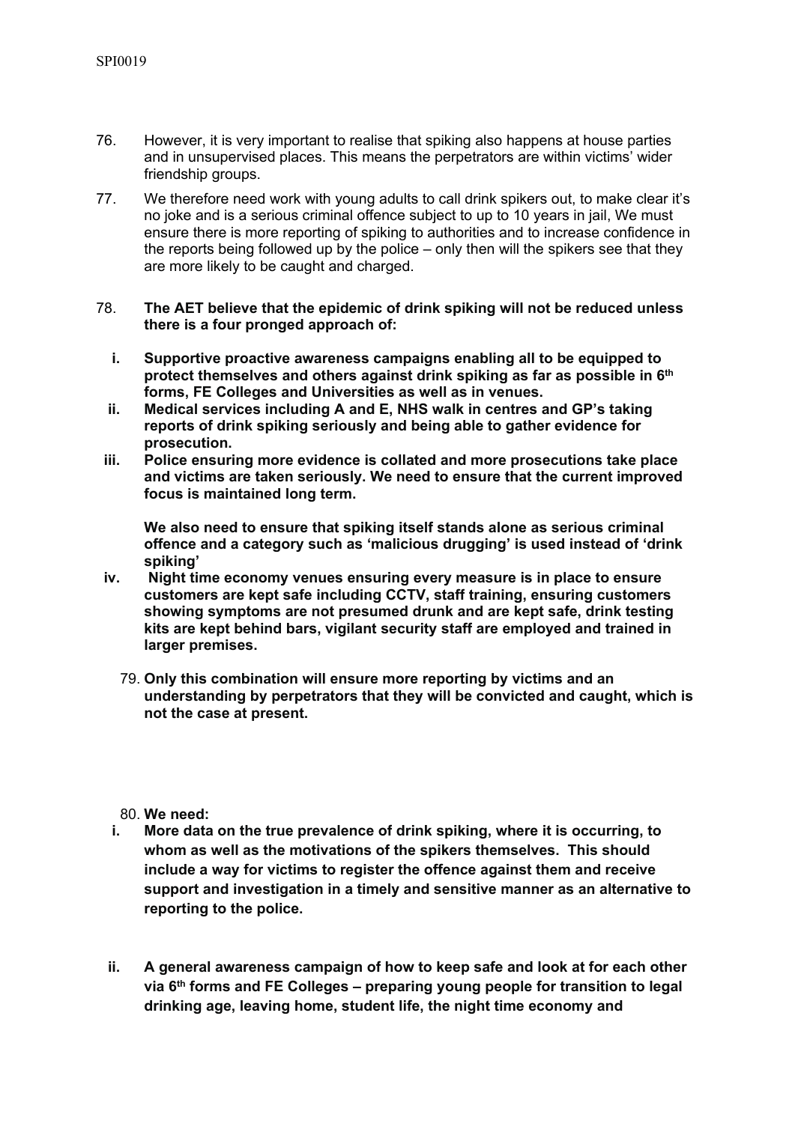- 76. However, it is very important to realise that spiking also happens at house parties and in unsupervised places. This means the perpetrators are within victims' wider friendship groups.
- 77. We therefore need work with young adults to call drink spikers out, to make clear it's no joke and is a serious criminal offence subject to up to 10 years in jail, We must ensure there is more reporting of spiking to authorities and to increase confidence in the reports being followed up by the police – only then will the spikers see that they are more likely to be caught and charged.
- 78. **The AET believe that the epidemic of drink spiking will not be reduced unless there is a four pronged approach of:**
	- **i. Supportive proactive awareness campaigns enabling all to be equipped to protect themselves and others against drink spiking as far as possible in 6 th forms, FE Colleges and Universities as well as in venues.**
	- **ii. Medical services including A and E, NHS walk in centres and GP's taking reports of drink spiking seriously and being able to gather evidence for prosecution.**
	- **iii. Police ensuring more evidence is collated and more prosecutions take place and victims are taken seriously. We need to ensure that the current improved focus is maintained long term.**

**We also need to ensure that spiking itself stands alone as serious criminal offence and a category such as 'malicious drugging' is used instead of 'drink spiking'**

- **iv. Night time economy venues ensuring every measure is in place to ensure customers are kept safe including CCTV, staff training, ensuring customers showing symptoms are not presumed drunk and are kept safe, drink testing kits are kept behind bars, vigilant security staff are employed and trained in larger premises.**
	- 79. **Only this combination will ensure more reporting by victims and an understanding by perpetrators that they will be convicted and caught, which is not the case at present.**

80. **We need:**

- **i. More data on the true prevalence of drink spiking, where it is occurring, to whom as well as the motivations of the spikers themselves. This should include a way for victims to register the offence against them and receive support and investigation in a timely and sensitive manner as an alternative to reporting to the police.**
- **ii. A general awareness campaign of how to keep safe and look at for each other via 6 th forms and FE Colleges – preparing young people for transition to legal drinking age, leaving home, student life, the night time economy and**